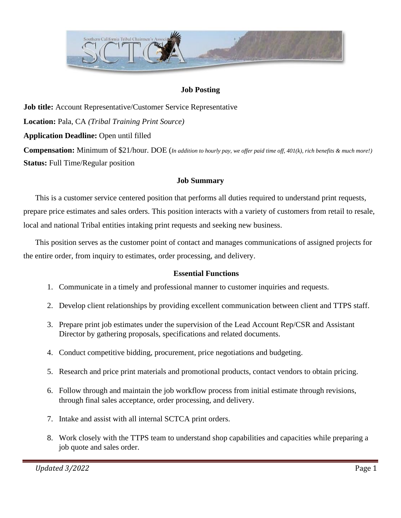

#### **Job Posting**

**Job title:** Account Representative/Customer Service Representative **Location:** Pala, CA *(Tribal Training Print Source)* **Application Deadline:** Open until filled **Compensation:** Minimum of \$21/hour. DOE (*In addition to hourly pay, we offer paid time off, 401(k), rich benefits & much more!)* **Status:** Full Time/Regular position

#### **Job Summary**

This is a customer service centered position that performs all duties required to understand print requests, prepare price estimates and sales orders. This position interacts with a variety of customers from retail to resale, local and national Tribal entities intaking print requests and seeking new business.

This position serves as the customer point of contact and manages communications of assigned projects for the entire order, from inquiry to estimates, order processing, and delivery.

#### **Essential Functions**

- 1. Communicate in a timely and professional manner to customer inquiries and requests.
- 2. Develop client relationships by providing excellent communication between client and TTPS staff.
- 3. Prepare print job estimates under the supervision of the Lead Account Rep/CSR and Assistant Director by gathering proposals, specifications and related documents.
- 4. Conduct competitive bidding, procurement, price negotiations and budgeting.
- 5. Research and price print materials and promotional products, contact vendors to obtain pricing.
- 6. Follow through and maintain the job workflow process from initial estimate through revisions, through final sales acceptance, order processing, and delivery.
- 7. Intake and assist with all internal SCTCA print orders.
- 8. Work closely with the TTPS team to understand shop capabilities and capacities while preparing a job quote and sales order.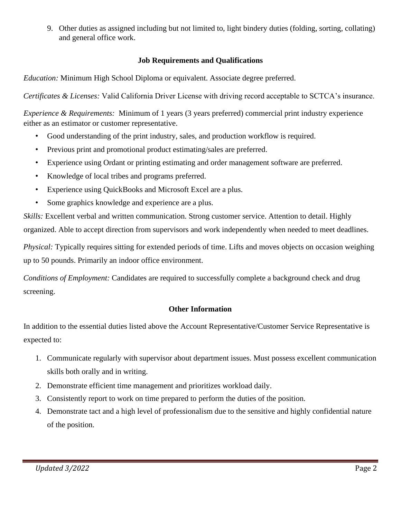9. Other duties as assigned including but not limited to, light bindery duties (folding, sorting, collating) and general office work.

### **Job Requirements and Qualifications**

*Education:* Minimum High School Diploma or equivalent. Associate degree preferred.

*Certificates & Licenses:* Valid California Driver License with driving record acceptable to SCTCA's insurance.

*Experience & Requirements:* Minimum of 1 years (3 years preferred) commercial print industry experience either as an estimator or customer representative.

- Good understanding of the print industry, sales, and production workflow is required.
- Previous print and promotional product estimating/sales are preferred.
- Experience using Ordant or printing estimating and order management software are preferred.
- Knowledge of local tribes and programs preferred.
- Experience using QuickBooks and Microsoft Excel are a plus.
- Some graphics knowledge and experience are a plus.

*Skills:* Excellent verbal and written communication. Strong customer service. Attention to detail. Highly organized. Able to accept direction from supervisors and work independently when needed to meet deadlines.

*Physical:* Typically requires sitting for extended periods of time. Lifts and moves objects on occasion weighing up to 50 pounds. Primarily an indoor office environment.

*Conditions of Employment:* Candidates are required to successfully complete a background check and drug screening.

### **Other Information**

In addition to the essential duties listed above the Account Representative/Customer Service Representative is expected to:

- 1. Communicate regularly with supervisor about department issues. Must possess excellent communication skills both orally and in writing.
- 2. Demonstrate efficient time management and prioritizes workload daily.
- 3. Consistently report to work on time prepared to perform the duties of the position.
- 4. Demonstrate tact and a high level of professionalism due to the sensitive and highly confidential nature of the position.